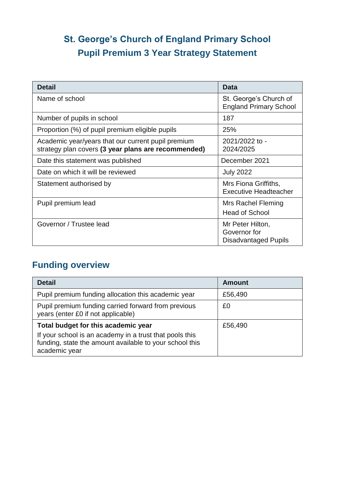# **St. George's Church of England Primary School Pupil Premium 3 Year Strategy Statement**

| <b>Detail</b>                                                                                             | <b>Data</b>                                                     |
|-----------------------------------------------------------------------------------------------------------|-----------------------------------------------------------------|
| Name of school                                                                                            | St. George's Church of<br><b>England Primary School</b>         |
| Number of pupils in school                                                                                | 187                                                             |
| Proportion (%) of pupil premium eligible pupils                                                           | 25%                                                             |
| Academic year/years that our current pupil premium<br>strategy plan covers (3 year plans are recommended) | 2021/2022 to -<br>2024/2025                                     |
| Date this statement was published                                                                         | December 2021                                                   |
| Date on which it will be reviewed                                                                         | <b>July 2022</b>                                                |
| Statement authorised by                                                                                   | Mrs Fiona Griffiths,<br><b>Executive Headteacher</b>            |
| Pupil premium lead                                                                                        | Mrs Rachel Fleming<br><b>Head of School</b>                     |
| Governor / Trustee lead                                                                                   | Mr Peter Hilton,<br>Governor for<br><b>Disadvantaged Pupils</b> |

## **Funding overview**

| <b>Detail</b>                                                                                                                                                              | <b>Amount</b> |
|----------------------------------------------------------------------------------------------------------------------------------------------------------------------------|---------------|
| Pupil premium funding allocation this academic year                                                                                                                        | £56,490       |
| Pupil premium funding carried forward from previous<br>years (enter £0 if not applicable)                                                                                  | £0            |
| Total budget for this academic year<br>If your school is an academy in a trust that pools this<br>funding, state the amount available to your school this<br>academic year | £56,490       |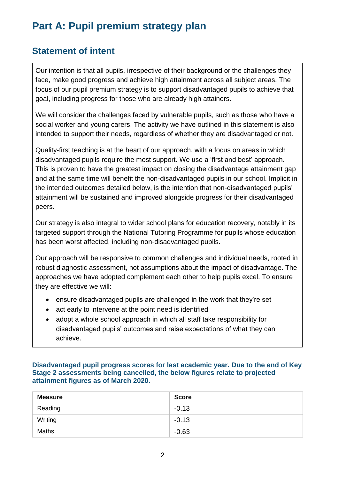# **Part A: Pupil premium strategy plan**

## **Statement of intent**

Our intention is that all pupils, irrespective of their background or the challenges they face, make good progress and achieve high attainment across all subject areas. The focus of our pupil premium strategy is to support disadvantaged pupils to achieve that goal, including progress for those who are already high attainers.

We will consider the challenges faced by vulnerable pupils, such as those who have a social worker and young carers. The activity we have outlined in this statement is also intended to support their needs, regardless of whether they are disadvantaged or not.

Quality-first teaching is at the heart of our approach, with a focus on areas in which disadvantaged pupils require the most support. We use a 'first and best' approach. This is proven to have the greatest impact on closing the disadvantage attainment gap and at the same time will benefit the non-disadvantaged pupils in our school. Implicit in the intended outcomes detailed below, is the intention that non-disadvantaged pupils' attainment will be sustained and improved alongside progress for their disadvantaged peers.

Our strategy is also integral to wider school plans for education recovery, notably in its targeted support through the National Tutoring Programme for pupils whose education has been worst affected, including non-disadvantaged pupils.

Our approach will be responsive to common challenges and individual needs, rooted in robust diagnostic assessment, not assumptions about the impact of disadvantage. The approaches we have adopted complement each other to help pupils excel. To ensure they are effective we will:

- ensure disadvantaged pupils are challenged in the work that they're set
- act early to intervene at the point need is identified
- adopt a whole school approach in which all staff take responsibility for disadvantaged pupils' outcomes and raise expectations of what they can achieve.

**Disadvantaged pupil progress scores for last academic year. Due to the end of Key Stage 2 assessments being cancelled, the below figures relate to projected attainment figures as of March 2020.** 

| <b>Measure</b> | <b>Score</b> |
|----------------|--------------|
| Reading        | $-0.13$      |
| Writing        | $-0.13$      |
| <b>Maths</b>   | $-0.63$      |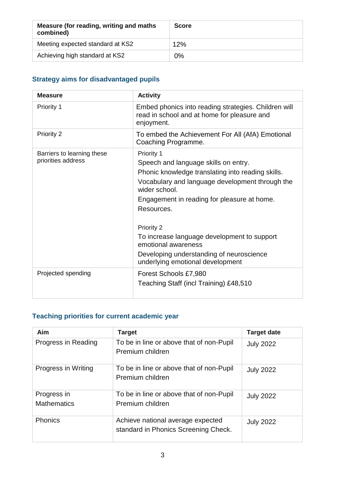| Measure (for reading, writing and maths<br>combined) | <b>Score</b> |
|------------------------------------------------------|--------------|
| Meeting expected standard at KS2                     | 12%          |
| Achieving high standard at KS2                       | 0%           |

#### **Strategy aims for disadvantaged pupils**

| <b>Measure</b>                                   | <b>Activity</b>                                                                                                                                                                                                                                                                                                                                                                                              |  |
|--------------------------------------------------|--------------------------------------------------------------------------------------------------------------------------------------------------------------------------------------------------------------------------------------------------------------------------------------------------------------------------------------------------------------------------------------------------------------|--|
| Priority 1                                       | Embed phonics into reading strategies. Children will<br>read in school and at home for pleasure and<br>enjoyment.                                                                                                                                                                                                                                                                                            |  |
| Priority 2                                       | To embed the Achievement For All (AfA) Emotional<br>Coaching Programme.                                                                                                                                                                                                                                                                                                                                      |  |
| Barriers to learning these<br>priorities address | Priority 1<br>Speech and language skills on entry.<br>Phonic knowledge translating into reading skills.<br>Vocabulary and language development through the<br>wider school.<br>Engagement in reading for pleasure at home.<br>Resources.<br>Priority 2<br>To increase language development to support<br>emotional awareness<br>Developing understanding of neuroscience<br>underlying emotional development |  |
| Projected spending                               | Forest Schools £7,980<br>Teaching Staff (incl Training) £48,510                                                                                                                                                                                                                                                                                                                                              |  |

## **Teaching priorities for current academic year**

| Aim                               | <b>Target</b>                                                             | <b>Target date</b> |
|-----------------------------------|---------------------------------------------------------------------------|--------------------|
| Progress in Reading               | To be in line or above that of non-Pupil<br>Premium children              | <b>July 2022</b>   |
| Progress in Writing               | To be in line or above that of non-Pupil<br>Premium children              | <b>July 2022</b>   |
| Progress in<br><b>Mathematics</b> | To be in line or above that of non-Pupil<br>Premium children              | <b>July 2022</b>   |
| <b>Phonics</b>                    | Achieve national average expected<br>standard in Phonics Screening Check. | <b>July 2022</b>   |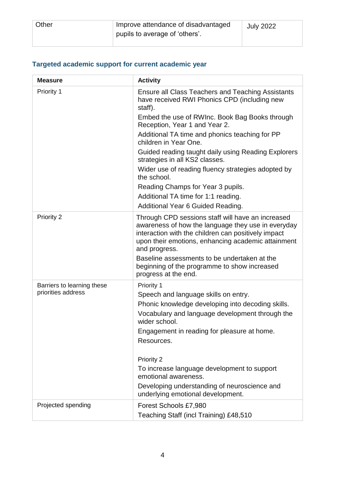| Other | Improve attendance of disadvantaged<br>pupils to average of 'others'. | <b>July 2022</b> |  |
|-------|-----------------------------------------------------------------------|------------------|--|
|-------|-----------------------------------------------------------------------|------------------|--|

## **Targeted academic support for current academic year**

| <b>Measure</b>                                   | <b>Activity</b>                                                                                                                                                                                                                          |
|--------------------------------------------------|------------------------------------------------------------------------------------------------------------------------------------------------------------------------------------------------------------------------------------------|
| Priority 1                                       | <b>Ensure all Class Teachers and Teaching Assistants</b><br>have received RWI Phonics CPD (including new<br>staff).                                                                                                                      |
|                                                  | Embed the use of RWInc. Book Bag Books through<br>Reception, Year 1 and Year 2.                                                                                                                                                          |
|                                                  | Additional TA time and phonics teaching for PP<br>children in Year One.                                                                                                                                                                  |
|                                                  | Guided reading taught daily using Reading Explorers<br>strategies in all KS2 classes.                                                                                                                                                    |
|                                                  | Wider use of reading fluency strategies adopted by<br>the school.                                                                                                                                                                        |
|                                                  | Reading Champs for Year 3 pupils.                                                                                                                                                                                                        |
|                                                  | Additional TA time for 1:1 reading.<br>Additional Year 6 Guided Reading.                                                                                                                                                                 |
| Priority 2                                       | Through CPD sessions staff will have an increased<br>awareness of how the language they use in everyday<br>interaction with the children can positively impact<br>upon their emotions, enhancing academic attainment<br>and progress.    |
|                                                  | Baseline assessments to be undertaken at the<br>beginning of the programme to show increased<br>progress at the end.                                                                                                                     |
| Barriers to learning these<br>priorities address | Priority 1<br>Speech and language skills on entry.<br>Phonic knowledge developing into decoding skills.<br>Vocabulary and language development through the<br>wider school.<br>Engagement in reading for pleasure at home.<br>Resources. |
|                                                  | Priority 2<br>To increase language development to support<br>emotional awareness.<br>Developing understanding of neuroscience and<br>underlying emotional development.                                                                   |
| Projected spending                               | Forest Schools £7,980<br>Teaching Staff (incl Training) £48,510                                                                                                                                                                          |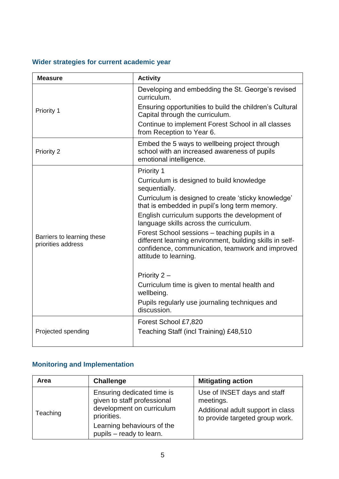## **Wider strategies for current academic year**

| <b>Measure</b>                                   | <b>Activity</b>                                                                                                                                                                        |
|--------------------------------------------------|----------------------------------------------------------------------------------------------------------------------------------------------------------------------------------------|
|                                                  | Developing and embedding the St. George's revised<br>curriculum.                                                                                                                       |
| Priority 1                                       | Ensuring opportunities to build the children's Cultural<br>Capital through the curriculum.                                                                                             |
|                                                  | Continue to implement Forest School in all classes<br>from Reception to Year 6.                                                                                                        |
| <b>Priority 2</b>                                | Embed the 5 ways to wellbeing project through<br>school with an increased awareness of pupils<br>emotional intelligence.                                                               |
|                                                  | Priority 1                                                                                                                                                                             |
| Barriers to learning these<br>priorities address | Curriculum is designed to build knowledge<br>sequentially.                                                                                                                             |
|                                                  | Curriculum is designed to create 'sticky knowledge'<br>that is embedded in pupil's long term memory.                                                                                   |
|                                                  | English curriculum supports the development of<br>language skills across the curriculum.                                                                                               |
|                                                  | Forest School sessions - teaching pupils in a<br>different learning environment, building skills in self-<br>confidence, communication, teamwork and improved<br>attitude to learning. |
|                                                  | Priority $2 -$                                                                                                                                                                         |
|                                                  | Curriculum time is given to mental health and<br>wellbeing.                                                                                                                            |
|                                                  | Pupils regularly use journaling techniques and<br>discussion.                                                                                                                          |
|                                                  | Forest School £7,820                                                                                                                                                                   |
| Projected spending                               | Teaching Staff (incl Training) £48,510                                                                                                                                                 |
|                                                  |                                                                                                                                                                                        |

#### **Monitoring and Implementation**

| Area     | <b>Challenge</b>                                                                                                                                                | <b>Mitigating action</b>                                                                                         |
|----------|-----------------------------------------------------------------------------------------------------------------------------------------------------------------|------------------------------------------------------------------------------------------------------------------|
| Teaching | Ensuring dedicated time is<br>given to staff professional<br>development on curriculum<br>priorities.<br>Learning behaviours of the<br>pupils - ready to learn. | Use of INSET days and staff<br>meetings.<br>Additional adult support in class<br>to provide targeted group work. |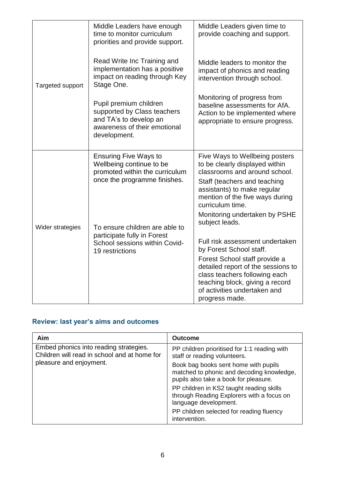|                  | Middle Leaders have enough<br>time to monitor curriculum<br>priorities and provide support.                                     | Middle Leaders given time to<br>provide coaching and support.                                                                                                                                                           |
|------------------|---------------------------------------------------------------------------------------------------------------------------------|-------------------------------------------------------------------------------------------------------------------------------------------------------------------------------------------------------------------------|
| Targeted support | Read Write Inc Training and<br>implementation has a positive<br>impact on reading through Key<br>Stage One.                     | Middle leaders to monitor the<br>impact of phonics and reading<br>intervention through school.                                                                                                                          |
|                  | Pupil premium children<br>supported by Class teachers<br>and TA's to develop an<br>awareness of their emotional<br>development. | Monitoring of progress from<br>baseline assessments for AfA.<br>Action to be implemented where<br>appropriate to ensure progress.                                                                                       |
|                  | <b>Ensuring Five Ways to</b><br>Wellbeing continue to be<br>promoted within the curriculum<br>once the programme finishes.      | Five Ways to Wellbeing posters<br>to be clearly displayed within<br>classrooms and around school.<br>Staff (teachers and teaching<br>assistants) to make regular<br>mention of the five ways during<br>curriculum time. |
| Wider strategies | To ensure children are able to<br>participate fully in Forest<br>School sessions within Covid-                                  | Monitoring undertaken by PSHE<br>subject leads.<br>Full risk assessment undertaken                                                                                                                                      |
|                  | 19 restrictions                                                                                                                 | by Forest School staff.<br>Forest School staff provide a<br>detailed report of the sessions to<br>class teachers following each<br>teaching block, giving a record<br>of activities undertaken and<br>progress made.    |

#### **Review: last year's aims and outcomes**

| <b>Aim</b>                                                                                                        | <b>Outcome</b>                                                                                                             |
|-------------------------------------------------------------------------------------------------------------------|----------------------------------------------------------------------------------------------------------------------------|
| Embed phonics into reading strategies.<br>Children will read in school and at home for<br>pleasure and enjoyment. | PP children prioritised for 1:1 reading with<br>staff or reading volunteers.                                               |
|                                                                                                                   | Book bag books sent home with pupils<br>matched to phonic and decoding knowledge,<br>pupils also take a book for pleasure. |
|                                                                                                                   | PP children in KS2 taught reading skills<br>through Reading Explorers with a focus on<br>language development.             |
|                                                                                                                   | PP children selected for reading fluency<br>intervention.                                                                  |